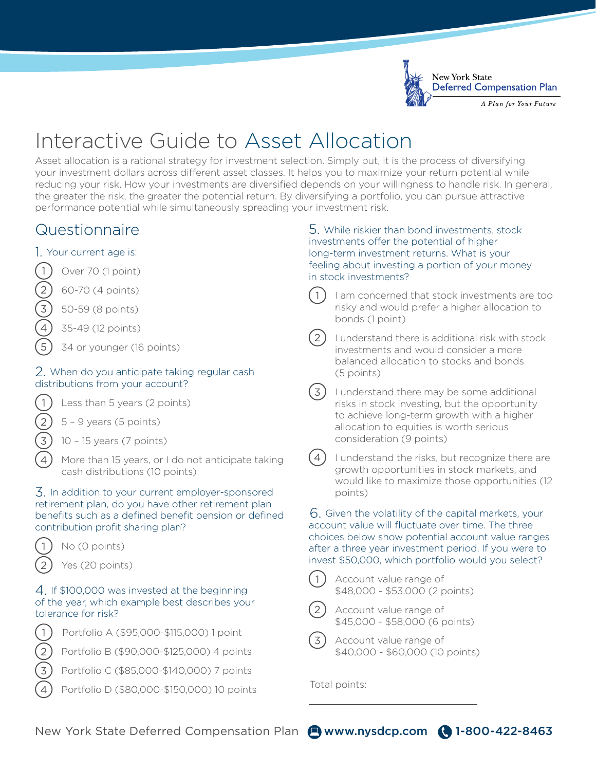

# Interactive Guide to Asset Allocation

Asset allocation is a rational strategy for investment selection. Simply put, it is the process of diversifying your investment dollars across different asset classes. It helps you to maximize your return potential while reducing your risk. How your investments are diversified depends on your willingness to handle risk. In general, the greater the risk, the greater the potential return. By diversifying a portfolio, you can pursue attractive performance potential while simultaneously spreading your investment risk.

# Questionnaire

## 1. Your current age is:



- $\binom{2}{3}$  60-70 (4 points)<br>3) 50-59 (8 points)
- 3 50-59 (8 points)
- 35-49 (12 points)
- 5 34 or younger (16 points)

### 2. When do you anticipate taking regular cash distributions from your account?



1) Less than 5 years (2 points)

- $5 9$  years (5 points)
- 3 10 15 years (7 points)
- More than 15 years, or I do not anticipate taking cash distributions (10 points)

#### 3. In addition to your current employer-sponsored retirement plan, do you have other retirement plan benefits such as a defined benefit pension or defined contribution profit sharing plan?



 $1)$  No (0 points)

Yes (20 points)

### 4. If \$100,000 was invested at the beginning of the year, which example best describes your tolerance for risk?



- 2) Portfolio B (\$90,000-\$125,000) 4 points
- 3 Portfolio C (\$85,000-\$140,000) 7 points
	- Portfolio D (\$80,000-\$150,000) 10 points

#### 5. While riskier than bond investments, stock investments offer the potential of higher long-term investment returns. What is your feeling about investing a portion of your money in stock investments?

I am concerned that stock investments are too risky and would prefer a higher allocation to bonds (1 point)

I understand there is additional risk with stock investments and would consider a more balanced allocation to stocks and bonds (5 points)

 $(3)$  I understand there may be some additional risks in stock investing, but the opportunity to achieve long-term growth with a higher allocation to equities is worth serious consideration (9 points)



 $(4)$  I understand the risks, but recognize there are growth opportunities in stock markets, and would like to maximize those opportunities (12 points)

6. Given the volatility of the capital markets, your account value will fluctuate over time. The three choices below show potential account value ranges after a three year investment period. If you were to invest \$50,000, which portfolio would you select?



Account value range of \$48,000 - \$53,000 (2 points)



Account value range of \$45,000 - \$58,000 (6 points)



3) Account value range of \$40,000 - \$60,000 (10 points)

Total points:

New York State Deferred Compensation Plan @www.nysdcp.com ( 1-800-422-8463